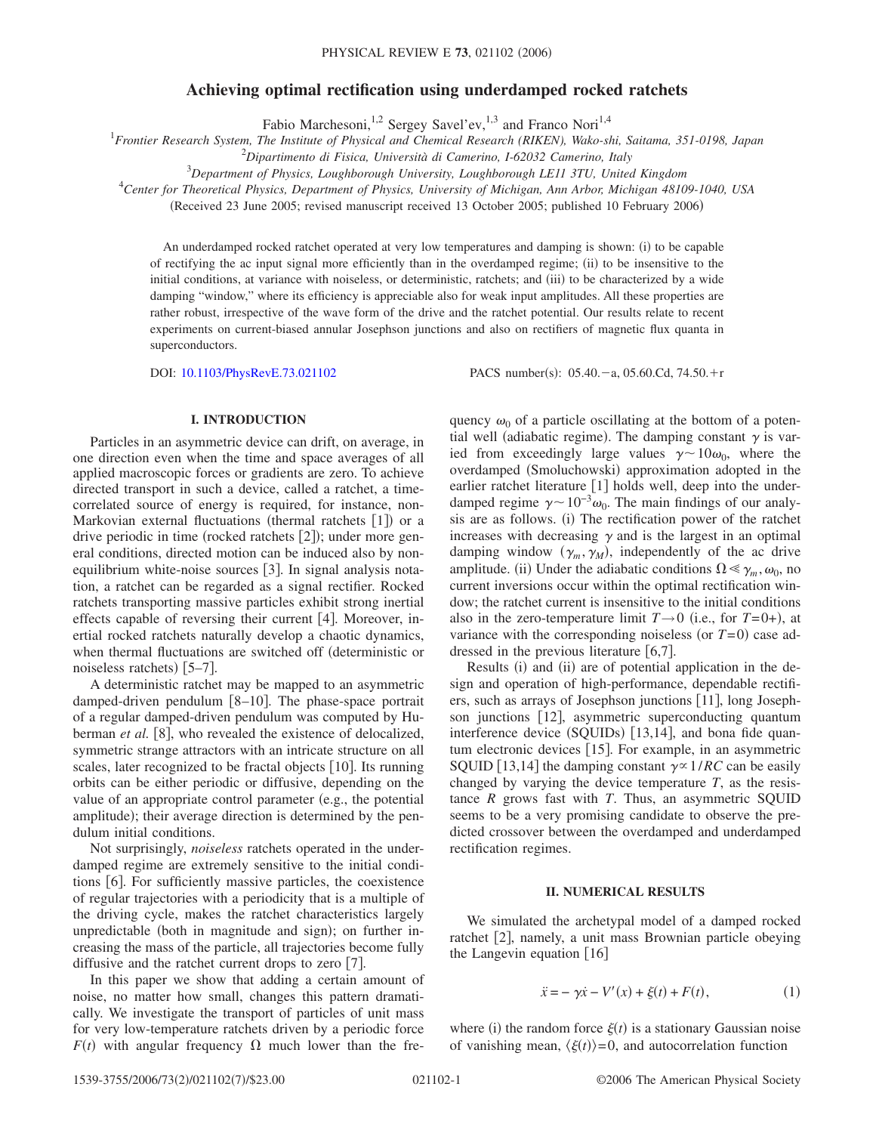# **Achieving optimal rectification using underdamped rocked ratchets**

Fabio Marchesoni,<sup>1,2</sup> Sergey Savel'ev,<sup>1,3</sup> and Franco Nori<sup>1,4</sup>

1 *Frontier Research System, The Institute of Physical and Chemical Research (RIKEN), Wako-shi, Saitama, 351-0198, Japan*

2 *Dipartimento di Fisica, Università di Camerino, I-62032 Camerino, Italy*

3 *Department of Physics, Loughborough University, Loughborough LE11 3TU, United Kingdom*

4 *Center for Theoretical Physics, Department of Physics, University of Michigan, Ann Arbor, Michigan 48109-1040, USA*

(Received 23 June 2005; revised manuscript received 13 October 2005; published 10 February 2006)

An underdamped rocked ratchet operated at very low temperatures and damping is shown: (i) to be capable of rectifying the ac input signal more efficiently than in the overdamped regime; (ii) to be insensitive to the initial conditions, at variance with noiseless, or deterministic, ratchets; and (iii) to be characterized by a wide damping "window," where its efficiency is appreciable also for weak input amplitudes. All these properties are rather robust, irrespective of the wave form of the drive and the ratchet potential. Our results relate to recent experiments on current-biased annular Josephson junctions and also on rectifiers of magnetic flux quanta in superconductors.

DOI: [10.1103/PhysRevE.73.021102](http://dx.doi.org/10.1103/PhysRevE.73.021102)

 $: 05.40 - a, 05.60 \text{ Cd}, 74.50 + r$ 

## **I. INTRODUCTION**

Particles in an asymmetric device can drift, on average, in one direction even when the time and space averages of all applied macroscopic forces or gradients are zero. To achieve directed transport in such a device, called a ratchet, a timecorrelated source of energy is required, for instance, non-Markovian external fluctuations (thermal ratchets [1]) or a drive periodic in time (rocked ratchets [2]); under more general conditions, directed motion can be induced also by nonequilibrium white-noise sources  $[3]$ . In signal analysis notation, a ratchet can be regarded as a signal rectifier. Rocked ratchets transporting massive particles exhibit strong inertial effects capable of reversing their current  $[4]$ . Moreover, inertial rocked ratchets naturally develop a chaotic dynamics, when thermal fluctuations are switched off deterministic or noiseless ratchets)  $[5-7]$ .

A deterministic ratchet may be mapped to an asymmetric damped-driven pendulum  $[8-10]$ . The phase-space portrait of a regular damped-driven pendulum was computed by Huberman *et al.* [8], who revealed the existence of delocalized, symmetric strange attractors with an intricate structure on all scales, later recognized to be fractal objects [10]. Its running orbits can be either periodic or diffusive, depending on the value of an appropriate control parameter  $(e.g., the potential)$ amplitude); their average direction is determined by the pendulum initial conditions.

Not surprisingly, *noiseless* ratchets operated in the underdamped regime are extremely sensitive to the initial conditions  $[6]$ . For sufficiently massive particles, the coexistence of regular trajectories with a periodicity that is a multiple of the driving cycle, makes the ratchet characteristics largely unpredictable (both in magnitude and sign); on further increasing the mass of the particle, all trajectories become fully diffusive and the ratchet current drops to zero  $[7]$ .

In this paper we show that adding a certain amount of noise, no matter how small, changes this pattern dramatically. We investigate the transport of particles of unit mass for very low-temperature ratchets driven by a periodic force  $F(t)$  with angular frequency  $\Omega$  much lower than the fre-

quency  $\omega_0$  of a particle oscillating at the bottom of a potential well (adiabatic regime). The damping constant  $\gamma$  is varied from exceedingly large values  $\gamma \sim 10\omega_0$ , where the overdamped (Smoluchowski) approximation adopted in the earlier ratchet literature  $[1]$  holds well, deep into the underdamped regime  $\gamma \sim 10^{-3}\omega_0$ . The main findings of our analysis are as follows. (i) The rectification power of the ratchet increases with decreasing  $\gamma$  and is the largest in an optimal damping window  $(\gamma_m, \gamma_M)$ , independently of the ac drive amplitude. (ii) Under the adiabatic conditions  $\Omega \le \gamma_m, \omega_0$ , no current inversions occur within the optimal rectification window; the ratchet current is insensitive to the initial conditions also in the zero-temperature limit  $T \rightarrow 0$  (i.e., for  $T=0+$ ), at variance with the corresponding noiseless (or  $T=0$ ) case addressed in the previous literature  $[6,7]$ .

Results (i) and (ii) are of potential application in the design and operation of high-performance, dependable rectifiers, such as arrays of Josephson junctions  $[11]$ , long Josephson junctions [12], asymmetric superconducting quantum interference device (SQUIDs) [13,14], and bona fide quantum electronic devices  $[15]$ . For example, in an asymmetric SQUID [13,14] the damping constant  $\gamma \propto 1/RC$  can be easily changed by varying the device temperature *T*, as the resistance  $R$  grows fast with  $T$ . Thus, an asymmetric SOUID seems to be a very promising candidate to observe the predicted crossover between the overdamped and underdamped rectification regimes.

# **II. NUMERICAL RESULTS**

We simulated the archetypal model of a damped rocked ratchet [2], namely, a unit mass Brownian particle obeying the Langevin equation  $\lceil 16 \rceil$ 

$$
\ddot{x} = -\gamma \dot{x} - V'(x) + \xi(t) + F(t),
$$
\n(1)

where (i) the random force  $\xi(t)$  is a stationary Gaussian noise of vanishing mean,  $\langle \xi(t) \rangle = 0$ , and autocorrelation function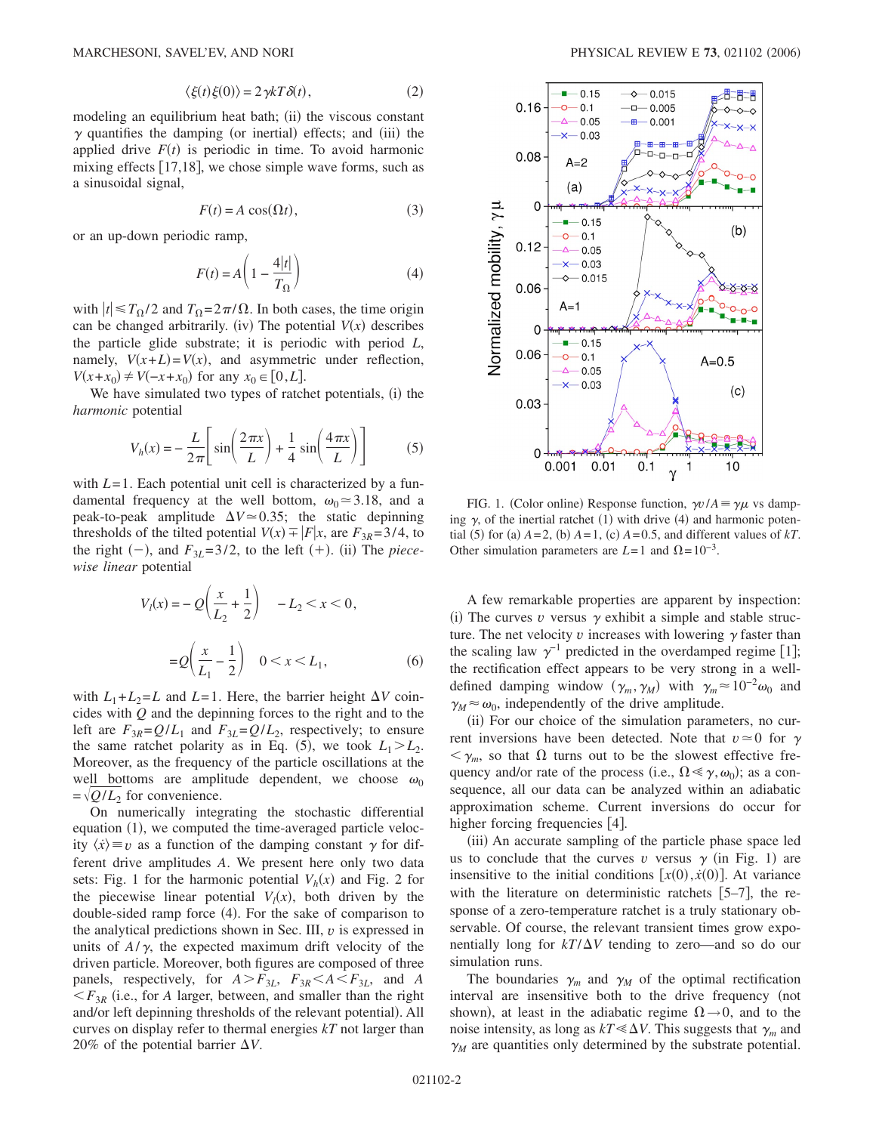$$
\langle \xi(t)\xi(0)\rangle = 2\gamma kT\delta(t),\qquad(2)
$$

modeling an equilibrium heat bath; (ii) the viscous constant  $\gamma$  quantifies the damping (or inertial) effects; and (iii) the applied drive  $F(t)$  is periodic in time. To avoid harmonic mixing effects  $[17,18]$ , we chose simple wave forms, such as a sinusoidal signal,

$$
F(t) = A \cos(\Omega t), \tag{3}
$$

or an up-down periodic ramp,

$$
F(t) = A \left( 1 - \frac{4|t|}{T_{\Omega}} \right)
$$
 (4)

with  $|t| \leq T_{\Omega}/2$  and  $T_{\Omega} = 2\pi/\Omega$ . In both cases, the time origin can be changed arbitrarily. (iv) The potential  $V(x)$  describes the particle glide substrate; it is periodic with period *L*, namely,  $V(x+L) = V(x)$ , and asymmetric under reflection, *V*(*x*+*x*<sub>0</sub>) ≠ *V*(−*x*+*x*<sub>0</sub>) for any *x*<sub>0</sub> ∈ [0,*L*].

We have simulated two types of ratchet potentials, (i) the *harmonic* potential

$$
V_h(x) = -\frac{L}{2\pi} \left[ \sin\left(\frac{2\pi x}{L}\right) + \frac{1}{4}\sin\left(\frac{4\pi x}{L}\right) \right]
$$
 (5)

with *L*=1. Each potential unit cell is characterized by a fundamental frequency at the well bottom,  $\omega_0 \approx 3.18$ , and a peak-to-peak amplitude  $\Delta V \approx 0.35$ ; the static depinning thresholds of the tilted potential  $V(x) = |F|x$ , are  $F_{3R} = 3/4$ , to the right  $(-)$ , and  $F_{3L} = 3/2$ , to the left  $(+)$ . (ii) The *piecewise linear* potential

$$
V_{l}(x) = -Q\left(\frac{x}{L_{2}} + \frac{1}{2}\right) - L_{2} < x < 0,
$$
\n
$$
= Q\left(\frac{x}{L_{1}} - \frac{1}{2}\right) \quad 0 < x < L_{1},\tag{6}
$$

with  $L_1 + L_2 = L$  and  $L = 1$ . Here, the barrier height  $\Delta V$  coincides with *Q* and the depinning forces to the right and to the left are  $F_{3R} = Q/L_1$  and  $F_{3L} = Q/L_2$ , respectively; to ensure the same ratchet polarity as in Eq. (5), we took  $L_1 > L_2$ . Moreover, as the frequency of the particle oscillations at the well bottoms are amplitude dependent, we choose  $\omega_0$  $=\sqrt{Q/L_2}$  for convenience.

On numerically integrating the stochastic differential equation (1), we computed the time-averaged particle velocity  $\langle \dot{x} \rangle \equiv v$  as a function of the damping constant  $\gamma$  for different drive amplitudes *A*. We present here only two data sets: Fig. 1 for the harmonic potential  $V_h(x)$  and Fig. 2 for the piecewise linear potential  $V_l(x)$ , both driven by the double-sided ramp force (4). For the sake of comparison to the analytical predictions shown in Sec. III, *v* is expressed in units of  $A/\gamma$ , the expected maximum drift velocity of the driven particle. Moreover, both figures are composed of three panels, respectively, for  $A > F_{3L}$ ,  $F_{3R} < A < F_{3L}$ , and *A*  $\langle F_{3R}$  (i.e., for *A* larger, between, and smaller than the right and/or left depinning thresholds of the relevant potential). All curves on display refer to thermal energies *kT* not larger than 20% of the potential barrier  $\Delta V$ .



FIG. 1. (Color online) Response function,  $\gamma v / A = \gamma \mu$  vs damping  $\gamma$ , of the inertial ratchet (1) with drive (4) and harmonic potential (5) for (a)  $A = 2$ , (b)  $A = 1$ , (c)  $A = 0.5$ , and different values of  $kT$ . Other simulation parameters are  $L=1$  and  $\Omega=10^{-3}$ .

A few remarkable properties are apparent by inspection: (i) The curves  $v$  versus  $\gamma$  exhibit a simple and stable structure. The net velocity  $\nu$  increases with lowering  $\gamma$  faster than the scaling law  $\gamma^{-1}$  predicted in the overdamped regime [1]; the rectification effect appears to be very strong in a welldefined damping window  $(\gamma_m, \gamma_M)$  with  $\gamma_m \approx 10^{-2} \omega_0$  and  $\gamma_M \approx \omega_0$ , independently of the drive amplitude.

(ii) For our choice of the simulation parameters, no current inversions have been detected. Note that  $v \approx 0$  for  $\gamma$  $m \leq \gamma_m$ , so that  $\Omega$  turns out to be the slowest effective frequency and/or rate of the process (i.e.,  $\Omega \le \gamma, \omega_0$ ); as a consequence, all our data can be analyzed within an adiabatic approximation scheme. Current inversions do occur for higher forcing frequencies  $[4]$ .

(iii) An accurate sampling of the particle phase space led us to conclude that the curves  $v$  versus  $\gamma$  (in Fig. 1) are insensitive to the initial conditions  $[x(0), \dot{x}(0)]$ . At variance with the literature on deterministic ratchets  $[5-7]$ , the response of a zero-temperature ratchet is a truly stationary observable. Of course, the relevant transient times grow exponentially long for  $kT/\Delta V$  tending to zero—and so do our simulation runs.

The boundaries  $\gamma_m$  and  $\gamma_M$  of the optimal rectification interval are insensitive both to the drive frequency (not shown), at least in the adiabatic regime  $\Omega \rightarrow 0$ , and to the noise intensity, as long as  $kT \ll \Delta V$ . This suggests that  $\gamma_m$  and  $\gamma_M$  are quantities only determined by the substrate potential.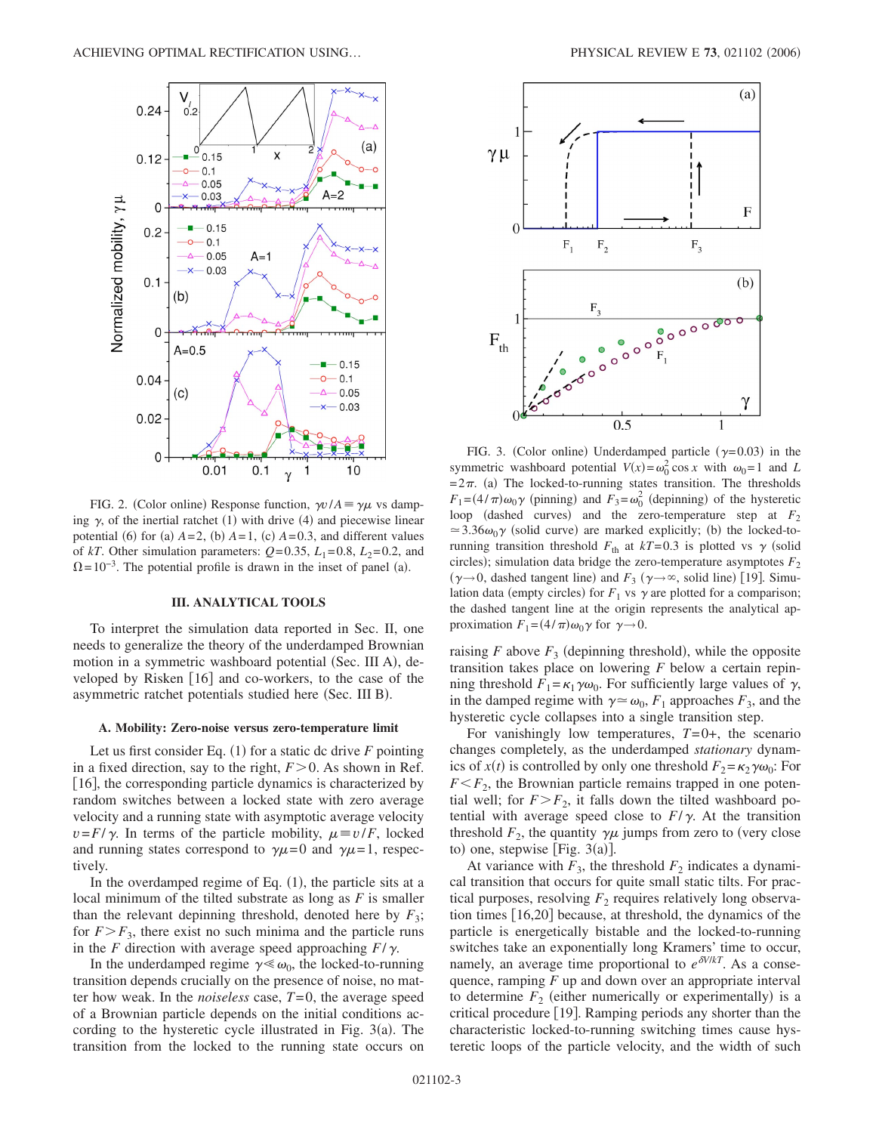

FIG. 2. (Color online) Response function,  $\gamma v / A = \gamma \mu$  vs damping  $\gamma$ , of the inertial ratchet (1) with drive (4) and piecewise linear potential (6) for (a)  $A=2$ , (b)  $A=1$ , (c)  $A=0.3$ , and different values of *kT*. Other simulation parameters:  $Q=0.35$ ,  $L_1=0.8$ ,  $L_2=0.2$ , and  $\Omega = 10^{-3}$ . The potential profile is drawn in the inset of panel (a).

### **III. ANALYTICAL TOOLS**

To interpret the simulation data reported in Sec. II, one needs to generalize the theory of the underdamped Brownian motion in a symmetric washboard potential (Sec. III A), developed by Risken  $\lceil 16 \rceil$  and co-workers, to the case of the asymmetric ratchet potentials studied here (Sec. III B).

#### **A. Mobility: Zero-noise versus zero-temperature limit**

Let us first consider Eq.  $(1)$  for a static dc drive  $F$  pointing in a fixed direction, say to the right,  $F > 0$ . As shown in Ref. [16], the corresponding particle dynamics is characterized by random switches between a locked state with zero average velocity and a running state with asymptotic average velocity  $v = F/\gamma$ . In terms of the particle mobility,  $\mu \equiv v/F$ , locked and running states correspond to  $\gamma \mu = 0$  and  $\gamma \mu = 1$ , respectively.

In the overdamped regime of Eq.  $(1)$ , the particle sits at a local minimum of the tilted substrate as long as *F* is smaller than the relevant depinning threshold, denoted here by  $F_3$ ; for  $F>F_3$ , there exist no such minima and the particle runs in the *F* direction with average speed approaching  $F/\gamma$ .

In the underdamped regime  $\gamma \ll \omega_0$ , the locked-to-running transition depends crucially on the presence of noise, no matter how weak. In the *noiseless* case, *T*=0, the average speed of a Brownian particle depends on the initial conditions according to the hysteretic cycle illustrated in Fig.  $3(a)$ . The transition from the locked to the running state occurs on



FIG. 3. (Color online) Underdamped particle  $(\gamma = 0.03)$  in the symmetric washboard potential  $V(x) = \omega_0^2 \cos x$  with  $\omega_0 = 1$  and *L*  $=2\pi$ . (a) The locked-to-running states transition. The thresholds  $F_1 = (4/\pi)\omega_0 \gamma$  (pinning) and  $F_3 = \omega_0^2$  (depinning) of the hysteretic loop (dashed curves) and the zero-temperature step at  $F_2$  $\approx$  3.36 $\omega_0 \gamma$  (solid curve) are marked explicitly; (b) the locked-torunning transition threshold  $F_{\text{th}}$  at  $kT=0.3$  is plotted vs  $\gamma$  (solid circles); simulation data bridge the zero-temperature asymptotes  $F_2$  $(\gamma \rightarrow 0)$ , dashed tangent line) and  $F_3$  ( $\gamma \rightarrow \infty$ , solid line) [19]. Simulation data (empty circles) for  $F_1$  vs  $\gamma$  are plotted for a comparison; the dashed tangent line at the origin represents the analytical approximation  $F_1 = (4/\pi)\omega_0 \gamma$  for  $\gamma \rightarrow 0$ .

raising  $F$  above  $F_3$  (depinning threshold), while the opposite transition takes place on lowering *F* below a certain repinning threshold  $F_1 = \kappa_1 \gamma \omega_0$ . For sufficiently large values of  $\gamma$ , in the damped regime with  $\gamma \approx \omega_0$ ,  $F_1$  approaches  $F_3$ , and the hysteretic cycle collapses into a single transition step.

For vanishingly low temperatures,  $T=0+$ , the scenario changes completely, as the underdamped *stationary* dynamics of  $x(t)$  is controlled by only one threshold  $F_2 = \kappa_2 \gamma \omega_0$ : For  $F \leq F_2$ , the Brownian particle remains trapped in one potential well; for  $F > F_2$ , it falls down the tilted washboard potential with average speed close to  $F/\gamma$ . At the transition threshold  $F_2$ , the quantity  $\gamma \mu$  jumps from zero to (very close to) one, stepwise [Fig.  $3(a)$ ].

At variance with  $F_3$ , the threshold  $F_2$  indicates a dynamical transition that occurs for quite small static tilts. For practical purposes, resolving  $F<sub>2</sub>$  requires relatively long observation times  $[16,20]$  because, at threshold, the dynamics of the particle is energetically bistable and the locked-to-running switches take an exponentially long Kramers' time to occur, namely, an average time proportional to  $e^{\delta V/kT}$ . As a consequence, ramping *F* up and down over an appropriate interval to determine  $F_2$  (either numerically or experimentally) is a critical procedure [19]. Ramping periods any shorter than the characteristic locked-to-running switching times cause hysteretic loops of the particle velocity, and the width of such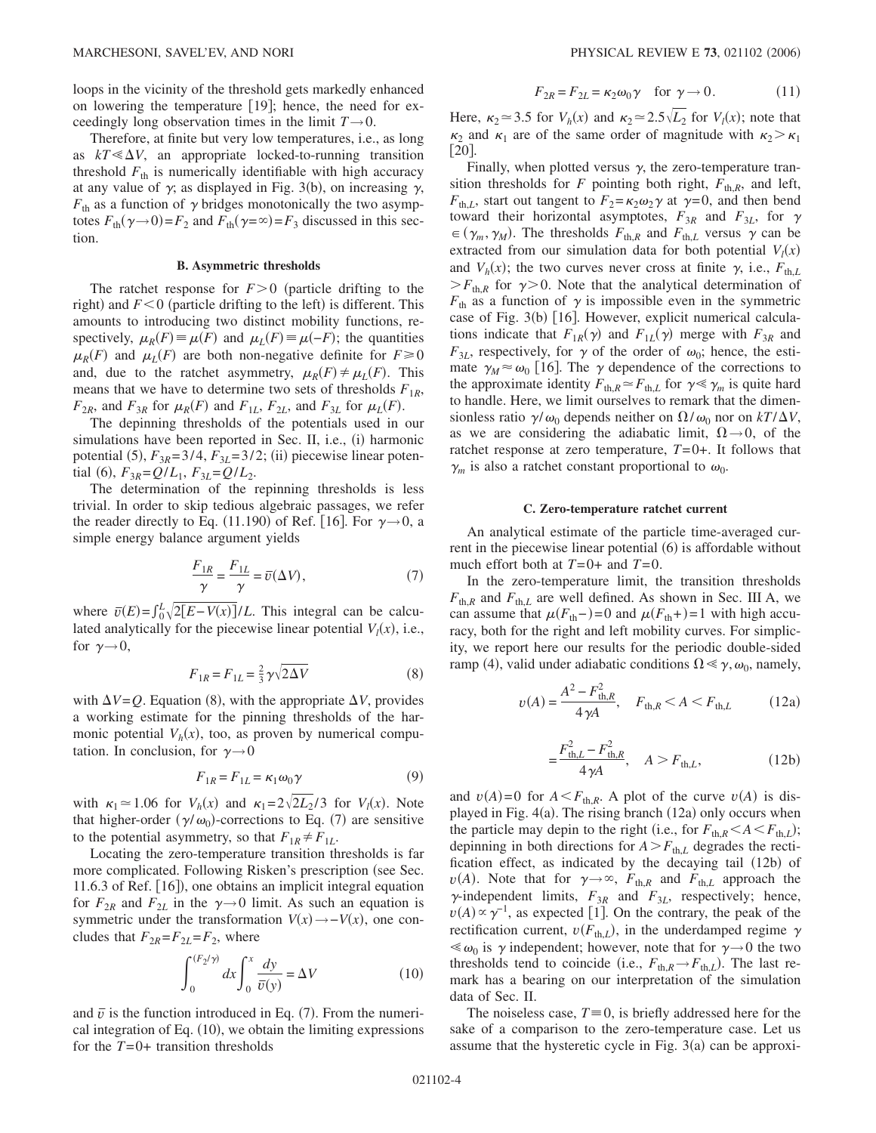loops in the vicinity of the threshold gets markedly enhanced on lowering the temperature  $[19]$ ; hence, the need for exceedingly long observation times in the limit  $T\rightarrow 0$ .

Therefore, at finite but very low temperatures, i.e., as long as  $kT \ll \Delta V$ , an appropriate locked-to-running transition threshold  $F_{th}$  is numerically identifiable with high accuracy at any value of  $\gamma$ , as displayed in Fig. 3(b), on increasing  $\gamma$ ,  $F_{\text{th}}$  as a function of  $\gamma$  bridges monotonically the two asymptotes  $F_{\text{th}}(\gamma \rightarrow 0) = F_2$  and  $F_{\text{th}}(\gamma = \infty) = F_3$  discussed in this section.

## **B. Asymmetric thresholds**

The ratchet response for  $F>0$  (particle drifting to the right) and  $F < 0$  (particle drifting to the left) is different. This amounts to introducing two distinct mobility functions, respectively,  $\mu_R(F) \equiv \mu(F)$  and  $\mu_L(F) \equiv \mu(-F)$ ; the quantities  $\mu_R(F)$  and  $\mu_L(F)$  are both non-negative definite for  $F \ge 0$ and, due to the ratchet asymmetry,  $\mu_R(F) \neq \mu_L(F)$ . This means that we have to determine two sets of thresholds  $F_{1R}$ ,  $F_{2R}$ , and  $F_{3R}$  for  $\mu_R(F)$  and  $F_{1L}$ ,  $F_{2L}$ , and  $F_{3L}$  for  $\mu_L(F)$ .

The depinning thresholds of the potentials used in our simulations have been reported in Sec. II, i.e., (i) harmonic potential (5),  $F_{3R}$ =3/4,  $F_{3L}$ =3/2; (ii) piecewise linear potential (6),  $F_{3R} = Q/L_1$ ,  $F_{3L} = Q/L_2$ .

The determination of the repinning thresholds is less trivial. In order to skip tedious algebraic passages, we refer the reader directly to Eq. (11.190) of Ref. [16]. For  $\gamma \rightarrow 0$ , a simple energy balance argument yields

$$
\frac{F_{1R}}{\gamma} = \frac{F_{1L}}{\gamma} = \overline{v}(\Delta V),\tag{7}
$$

where  $\bar{v}(E) = \int_0^L \sqrt{2[E - V(x)]}/L$ . This integral can be calculated analytically for the piecewise linear potential  $V_l(x)$ , i.e., for  $\gamma \rightarrow 0$ ,

$$
F_{1R} = F_{1L} = \frac{2}{3} \gamma \sqrt{2\Delta V}
$$
 (8)

with  $\Delta V = Q$ . Equation (8), with the appropriate  $\Delta V$ , provides a working estimate for the pinning thresholds of the harmonic potential  $V_h(x)$ , too, as proven by numerical computation. In conclusion, for  $\gamma \rightarrow 0$ 

$$
F_{1R} = F_{1L} = \kappa_1 \omega_0 \gamma \tag{9}
$$

with  $\kappa_1 \approx 1.06$  for  $V_h(x)$  and  $\kappa_1 = 2\sqrt{2L_2}/3$  for  $V_l(x)$ . Note that higher-order  $(\gamma/\omega_0)$ -corrections to Eq. (7) are sensitive to the potential asymmetry, so that  $F_{1R} \neq F_{1L}$ .

Locating the zero-temperature transition thresholds is far more complicated. Following Risken's prescription (see Sec. 11.6.3 of Ref. [16]), one obtains an implicit integral equation for  $F_{2R}$  and  $F_{2L}$  in the  $\gamma \rightarrow 0$  limit. As such an equation is symmetric under the transformation  $V(x) \rightarrow -V(x)$ , one concludes that  $F_{2R} = F_{2L} = F_2$ , where

$$
\int_0^{(F_2/\gamma)} dx \int_0^x \frac{dy}{\bar{v}(y)} = \Delta V \tag{10}
$$

and  $\bar{v}$  is the function introduced in Eq. (7). From the numerical integration of Eq. (10), we obtain the limiting expressions for the  $T=0+$  transition thresholds

$$
F_{2R} = F_{2L} = \kappa_2 \omega_0 \gamma \quad \text{for } \gamma \to 0. \tag{11}
$$

Here,  $\kappa_2 \approx 3.5$  for  $V_h(x)$  and  $\kappa_2 \approx 2.5\sqrt{L_2}$  for  $V_l(x)$ ; note that  $\kappa_2$  and  $\kappa_1$  are of the same order of magnitude with  $\kappa_2 > \kappa_1$  $\lceil 20 \rceil$ .

Finally, when plotted versus  $\gamma$ , the zero-temperature transition thresholds for *F* pointing both right,  $F_{th,R}$ , and left,  $F_{th,L}$ , start out tangent to  $F_2 = \kappa_2 \omega_2 \gamma$  at  $\gamma = 0$ , and then bend toward their horizontal asymptotes,  $F_{3R}$  and  $F_{3L}$ , for  $\gamma$  $\in (\gamma_m, \gamma_M)$ . The thresholds  $F_{\text{th},R}$  and  $F_{\text{th},L}$  versus  $\gamma$  can be extracted from our simulation data for both potential  $V_l(x)$ and  $V_h(x)$ ; the two curves never cross at finite  $\gamma$ , i.e.,  $F_{th,L}$  $F_{\text{th},R}$  for  $\gamma$  > 0. Note that the analytical determination of  $F_{\text{th}}$  as a function of  $\gamma$  is impossible even in the symmetric case of Fig. 3(b) [16]. However, explicit numerical calculations indicate that  $F_{1R}(\gamma)$  and  $F_{1L}(\gamma)$  merge with  $F_{3R}$  and  $F_{3L}$ , respectively, for  $\gamma$  of the order of  $\omega_0$ ; hence, the estimate  $\gamma_M \approx \omega_0$  [16]. The  $\gamma$  dependence of the corrections to the approximate identity  $F_{\text{th},R} \simeq F_{\text{th},L}$  for  $\gamma \ll \gamma_m$  is quite hard to handle. Here, we limit ourselves to remark that the dimensionless ratio  $\gamma/\omega_0$  depends neither on  $\Omega/\omega_0$  nor on  $kT/\Delta V$ , as we are considering the adiabatic limit,  $\Omega \rightarrow 0$ , of the ratchet response at zero temperature, *T*=0+. It follows that  $\gamma_m$  is also a ratchet constant proportional to  $\omega_0$ .

#### **C. Zero-temperature ratchet current**

An analytical estimate of the particle time-averaged current in the piecewise linear potential (6) is affordable without much effort both at *T*=0+ and *T*=0.

In the zero-temperature limit, the transition thresholds  $F_{\text{th},R}$  and  $F_{\text{th},L}$  are well defined. As shown in Sec. III A, we can assume that  $\mu(F_{\text{th}}-) = 0$  and  $\mu(F_{\text{th}}+) = 1$  with high accuracy, both for the right and left mobility curves. For simplicity, we report here our results for the periodic double-sided ramp (4), valid under adiabatic conditions  $\Omega \le \gamma, \omega_0$ , namely,

=

$$
v(A) = \frac{A^2 - F_{\text{th},R}^2}{4\gamma A}, \quad F_{\text{th},R} < A < F_{\text{th},L}
$$
 (12a)

$$
= \frac{F_{\text{th},L}^2 - F_{\text{th},R}^2}{4\gamma A}, \quad A > F_{\text{th},L}, \tag{12b}
$$

and  $v(A)=0$  for  $A \leq F_{th,R}$ . A plot of the curve  $v(A)$  is displayed in Fig. 4(a). The rising branch (12a) only occurs when the particle may depin to the right (i.e., for  $F_{\text{th},R} < A < F_{\text{th},L}$ ); depinning in both directions for  $A > F_{th,L}$  degrades the rectification effect, as indicated by the decaying tail (12b) of  $\nu(A)$ . Note that for  $\gamma \rightarrow \infty$ ,  $F_{\text{th},R}$  and  $F_{\text{th},L}$  approach the  $\gamma$ -independent limits,  $F_{3R}$  and  $F_{3L}$ , respectively; hence,  $v(A) \propto \gamma^{-1}$ , as expected [1]. On the contrary, the peak of the rectification current,  $v(F_{th,L})$ , in the underdamped regime  $\gamma$  $\ll \omega_0$  is  $\gamma$  independent; however, note that for  $\gamma \rightarrow 0$  the two thresholds tend to coincide (i.e.,  $F_{\text{th},R} \rightarrow F_{\text{th},L}$ ). The last remark has a bearing on our interpretation of the simulation data of Sec. II.

The noiseless case,  $T \equiv 0$ , is briefly addressed here for the sake of a comparison to the zero-temperature case. Let us assume that the hysteretic cycle in Fig.  $3(a)$  can be approxi-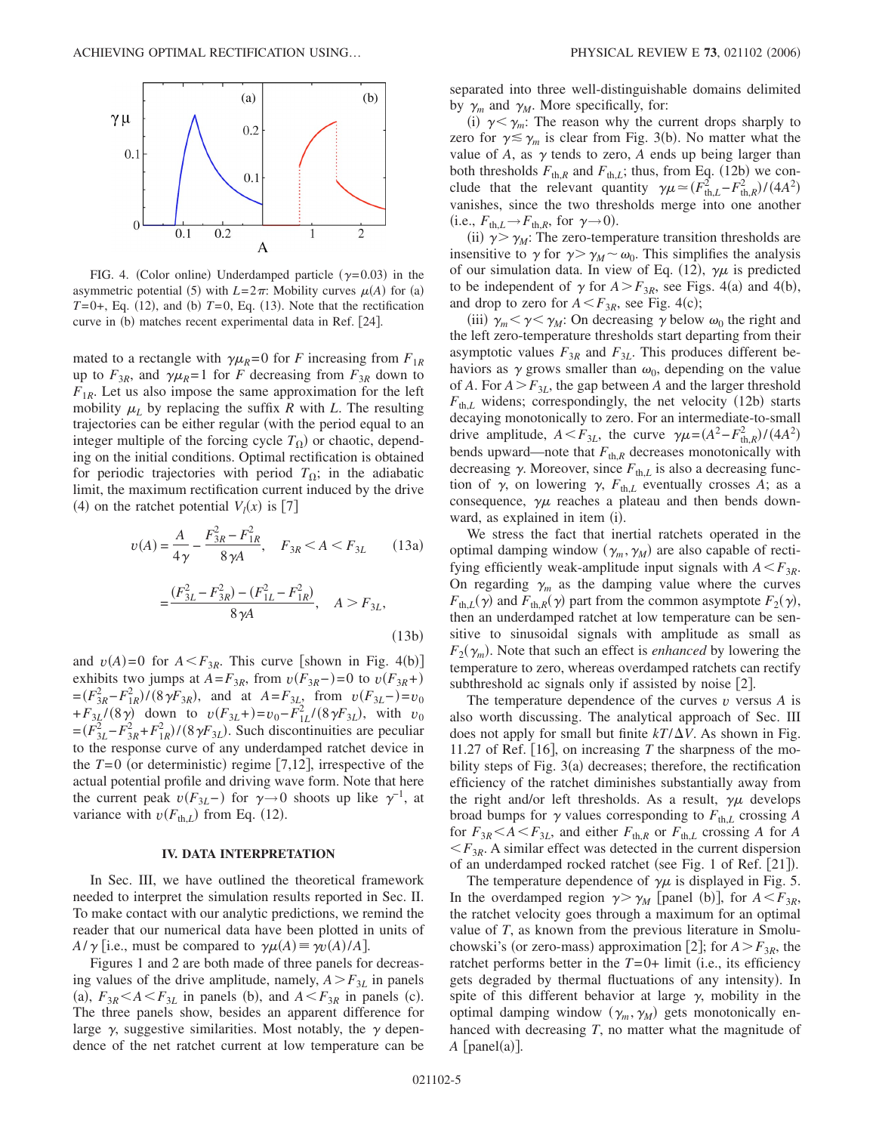

FIG. 4. (Color online) Underdamped particle  $(\gamma = 0.03)$  in the asymmetric potential (5) with  $L=2\pi$ : Mobility curves  $\mu(A)$  for (a)  $T=0+$ , Eq. (12), and (b)  $T=0$ , Eq. (13). Note that the rectification curve in (b) matches recent experimental data in Ref. [24].

mated to a rectangle with  $\gamma \mu_R = 0$  for *F* increasing from  $F_{1R}$ up to  $F_{3R}$ , and  $\gamma \mu_R = 1$  for *F* decreasing from  $F_{3R}$  down to  $F_{1R}$ . Let us also impose the same approximation for the left mobility  $\mu_L$  by replacing the suffix *R* with *L*. The resulting trajectories can be either regular (with the period equal to an integer multiple of the forcing cycle  $T_{\Omega}$ ) or chaotic, depending on the initial conditions. Optimal rectification is obtained for periodic trajectories with period  $T_{\Omega}$ ; in the adiabatic limit, the maximum rectification current induced by the drive (4) on the ratchet potential  $V_l(x)$  is [7]

$$
v(A) = \frac{A}{4\gamma} - \frac{F_{3R}^2 - F_{1R}^2}{8\gamma A}, \quad F_{3R} < A < F_{3L} \tag{13a}
$$

$$
=\frac{(F_{3L}^2 - F_{3R}^2) - (F_{1L}^2 - F_{1R}^2)}{8\gamma A}, \quad A > F_{3L},
$$
\n(13b)

and  $v(A)=0$  for  $A \leq F_{3R}$ . This curve [shown in Fig. 4(b)] exhibits two jumps at  $A = F_{3R}$ , from  $v(F_{3R}-)=0$  to  $v(F_{3R}+)$  $=(F_{3R}^2 - F_{1R}^2)/(8\gamma F_{3R})$ , and at  $A = F_{3L}$ , from  $v(F_{3L} -) = v_0$ + $F_{3L}$ /(8 $\gamma$ ) down to  $v(F_{3L}+) = v_0 - F_{1L}^2/(8\gamma F_{3L})$ , with  $v_0$  $=(F_{3L}^2 - F_{3R}^2 + F_{1R}^2) / (8 \gamma F_{3L})$ . Such discontinuities are peculiar to the response curve of any underdamped ratchet device in the  $T=0$  (or deterministic) regime [7,12], irrespective of the actual potential profile and driving wave form. Note that here the current peak  $v(F_{3L}-)$  for  $\gamma \to 0$  shoots up like  $\gamma^{-1}$ , at variance with  $v(F_{th,L})$  from Eq. (12).

## **IV. DATA INTERPRETATION**

In Sec. III, we have outlined the theoretical framework needed to interpret the simulation results reported in Sec. II. To make contact with our analytic predictions, we remind the reader that our numerical data have been plotted in units of  $A/\gamma$  [i.e., must be compared to  $\gamma\mu(A) \equiv \gamma v(A)/A$ ].

Figures 1 and 2 are both made of three panels for decreasing values of the drive amplitude, namely,  $A > F_{3L}$  in panels (a),  $F_{3R}$   $\leq$  *A*  $\leq$  *F*<sub>3*L*</sub> in panels (b), and *A*  $\leq$  *F*<sub>3*R*</sub> in panels (c). The three panels show, besides an apparent difference for large  $\gamma$ , suggestive similarities. Most notably, the  $\gamma$  dependence of the net ratchet current at low temperature can be separated into three well-distinguishable domains delimited by  $\gamma_m$  and  $\gamma_M$ . More specifically, for:

(i)  $\gamma < \gamma_m$ : The reason why the current drops sharply to zero for  $\gamma \lesssim \gamma_m$  is clear from Fig. 3(b). No matter what the value of  $A$ , as  $\gamma$  tends to zero,  $A$  ends up being larger than both thresholds  $F_{\text{th},R}$  and  $F_{\text{th},L}$ ; thus, from Eq. (12b) we conclude that the relevant quantity  $\gamma \mu \simeq (F_{\text{th},L}^2 - F_{\text{th},R}^2)/(4A^2)$ vanishes, since the two thresholds merge into one another  $(i.e., F<sub>th,L</sub> \rightarrow F<sub>th,R</sub>, for  $\gamma \rightarrow 0$ ).$ 

(ii)  $\gamma > \gamma_M$ : The zero-temperature transition thresholds are insensitive to  $\gamma$  for  $\gamma > \gamma_M \sim \omega_0$ . This simplifies the analysis of our simulation data. In view of Eq. (12),  $\gamma\mu$  is predicted to be independent of  $\gamma$  for  $A > F_{3R}$ , see Figs. 4(a) and 4(b), and drop to zero for  $A \leq F_{3R}$ , see Fig. 4(c);

(iii)  $\gamma_m < \gamma < \gamma_M$ : On decreasing  $\gamma$  below  $\omega_0$  the right and the left zero-temperature thresholds start departing from their asymptotic values  $F_{3R}$  and  $F_{3L}$ . This produces different behaviors as  $\gamma$  grows smaller than  $\omega_0$ , depending on the value of *A*. For  $A > F_{3L}$ , the gap between *A* and the larger threshold  $F_{th,L}$  widens; correspondingly, the net velocity (12b) starts decaying monotonically to zero. For an intermediate-to-small drive amplitude,  $A \leq F_{3L}$ , the curve  $\gamma \mu = (A^2 - F_{\text{th},R}^2)/(4A^2)$ bends upward—note that  $F_{\text{th},R}$  decreases monotonically with decreasing  $\gamma$ . Moreover, since  $F_{th,L}$  is also a decreasing function of  $\gamma$ , on lowering  $\gamma$ ,  $F_{th,L}$  eventually crosses A; as a consequence,  $\gamma\mu$  reaches a plateau and then bends downward, as explained in item (i).

We stress the fact that inertial ratchets operated in the optimal damping window  $(\gamma_m, \gamma_M)$  are also capable of rectifying efficiently weak-amplitude input signals with  $A \leq F_{3R}$ . On regarding  $\gamma_m$  as the damping value where the curves  $F_{\text{th},L}(\gamma)$  and  $F_{\text{th},R}(\gamma)$  part from the common asymptote  $F_2(\gamma)$ , then an underdamped ratchet at low temperature can be sensitive to sinusoidal signals with amplitude as small as  $F_2(\gamma_m)$ . Note that such an effect is *enhanced* by lowering the temperature to zero, whereas overdamped ratchets can rectify subthreshold ac signals only if assisted by noise  $[2]$ .

The temperature dependence of the curves *v* versus *A* is also worth discussing. The analytical approach of Sec. III does not apply for small but finite  $kT/\Delta V$ . As shown in Fig. 11.27 of Ref. [16], on increasing  $T$  the sharpness of the mobility steps of Fig. 3(a) decreases; therefore, the rectification efficiency of the ratchet diminishes substantially away from the right and/or left thresholds. As a result,  $\gamma\mu$  develops broad bumps for  $\gamma$  values corresponding to  $F_{th,L}$  crossing A for  $F_{3R}$   $\leq$   $A$   $\leq$   $F_{3L}$ , and either  $F_{\text{th},R}$  or  $F_{\text{th},L}$  crossing A for A  $\leq F_{3R}$ . A similar effect was detected in the current dispersion of an underdamped rocked ratchet (see Fig. 1 of Ref. [21]).

The temperature dependence of  $\gamma\mu$  is displayed in Fig. 5. In the overdamped region  $\gamma > \gamma_M$  [panel (b)], for  $A < F_{3R}$ , the ratchet velocity goes through a maximum for an optimal value of *T*, as known from the previous literature in Smoluchowski's (or zero-mass) approximation [2]; for  $A > F_{3R}$ , the ratchet performs better in the  $T=0+$  limit (i.e., its efficiency gets degraded by thermal fluctuations of any intensity). In spite of this different behavior at large  $\gamma$ , mobility in the optimal damping window  $(\gamma_m, \gamma_M)$  gets monotonically enhanced with decreasing *T*, no matter what the magnitude of  $A$  [panel(a)].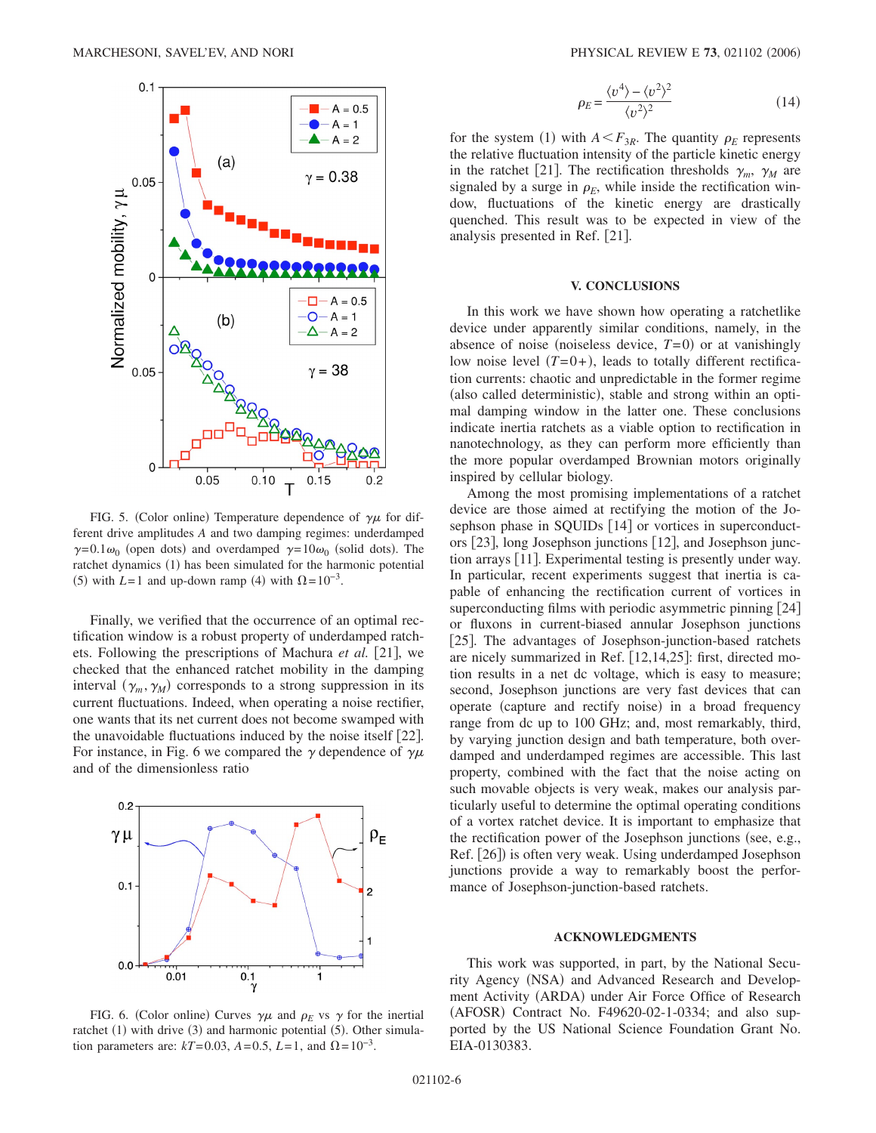

FIG. 5. (Color online) Temperature dependence of  $\gamma\mu$  for different drive amplitudes *A* and two damping regimes: underdamped  $\gamma=0.1\omega_0$  (open dots) and overdamped  $\gamma=10\omega_0$  (solid dots). The ratchet dynamics (1) has been simulated for the harmonic potential (5) with  $L=1$  and up-down ramp (4) with  $\Omega = 10^{-3}$ .

Finally, we verified that the occurrence of an optimal rectification window is a robust property of underdamped ratchets. Following the prescriptions of Machura *et al.* [21], we checked that the enhanced ratchet mobility in the damping interval  $(\gamma_m, \gamma_M)$  corresponds to a strong suppression in its current fluctuations. Indeed, when operating a noise rectifier, one wants that its net current does not become swamped with the unavoidable fluctuations induced by the noise itself  $[22]$ . For instance, in Fig. 6 we compared the  $\gamma$  dependence of  $\gamma\mu$ and of the dimensionless ratio



FIG. 6. (Color online) Curves  $\gamma\mu$  and  $\rho_E$  vs  $\gamma$  for the inertial ratchet (1) with drive (3) and harmonic potential (5). Other simulation parameters are:  $kT=0.03$ ,  $A=0.5$ ,  $L=1$ , and  $\Omega=10^{-3}$ .

$$
\rho_E = \frac{\langle v^4 \rangle - \langle v^2 \rangle^2}{\langle v^2 \rangle^2} \tag{14}
$$

for the system (1) with  $A \leq F_{3R}$ . The quantity  $\rho_E$  represents the relative fluctuation intensity of the particle kinetic energy in the ratchet [21]. The rectification thresholds  $\gamma_m$ ,  $\gamma_M$  are signaled by a surge in  $\rho_E$ , while inside the rectification window, fluctuations of the kinetic energy are drastically quenched. This result was to be expected in view of the analysis presented in Ref.  $[21]$ .

#### **V. CONCLUSIONS**

In this work we have shown how operating a ratchetlike device under apparently similar conditions, namely, in the absence of noise (noiseless device,  $T=0$ ) or at vanishingly low noise level  $(T=0+)$ , leads to totally different rectification currents: chaotic and unpredictable in the former regime (also called deterministic), stable and strong within an optimal damping window in the latter one. These conclusions indicate inertia ratchets as a viable option to rectification in nanotechnology, as they can perform more efficiently than the more popular overdamped Brownian motors originally inspired by cellular biology.

Among the most promising implementations of a ratchet device are those aimed at rectifying the motion of the Josephson phase in SQUIDs [14] or vortices in superconductors [23], long Josephson junctions [12], and Josephson junction arrays [11]. Experimental testing is presently under way. In particular, recent experiments suggest that inertia is capable of enhancing the rectification current of vortices in superconducting films with periodic asymmetric pinning  $[24]$ or fluxons in current-biased annular Josephson junctions 25. The advantages of Josephson-junction-based ratchets are nicely summarized in Ref.  $[12, 14, 25]$ : first, directed motion results in a net dc voltage, which is easy to measure; second, Josephson junctions are very fast devices that can operate (capture and rectify noise) in a broad frequency range from dc up to 100 GHz; and, most remarkably, third, by varying junction design and bath temperature, both overdamped and underdamped regimes are accessible. This last property, combined with the fact that the noise acting on such movable objects is very weak, makes our analysis particularly useful to determine the optimal operating conditions of a vortex ratchet device. It is important to emphasize that the rectification power of the Josephson junctions (see, e.g., Ref. [26]) is often very weak. Using underdamped Josephson junctions provide a way to remarkably boost the performance of Josephson-junction-based ratchets.

# **ACKNOWLEDGMENTS**

This work was supported, in part, by the National Security Agency (NSA) and Advanced Research and Development Activity (ARDA) under Air Force Office of Research (AFOSR) Contract No. F49620-02-1-0334; and also supported by the US National Science Foundation Grant No. EIA-0130383.